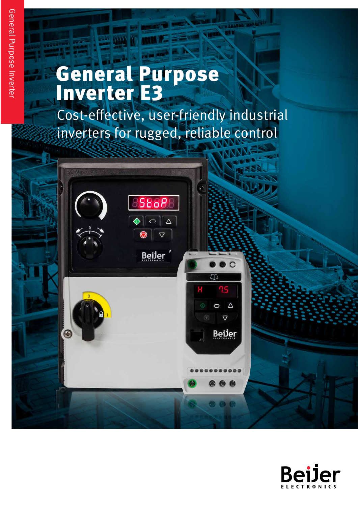# General Purpose Inverter E3

Cost-effective, user-friendly industrial inverters for rugged, reliable control



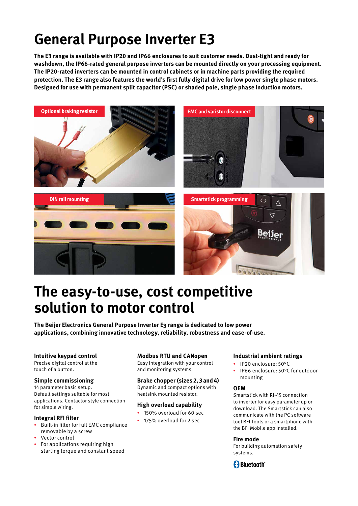## **General Purpose Inverter E3**

**The E3 range is available with IP20 and IP66 enclosures to suit customer needs. Dust-tight and ready for washdown, the IP66-rated general purpose inverters can be mounted directly on your processing equipment. The IP20-rated inverters can be mounted in control cabinets or in machine parts providing the required protection. The E3 range also features the world's first fully digital drive for low power single phase motors. Designed for use with permanent split capacitor (PSC) or shaded pole, single phase induction motors.**



## **The easy-to-use, cost competitive solution to motor control**

**The Beijer Electronics General Purpose Inverter E3 range is dedicated to low power applications, combining innovative technology, reliability, robustness and ease-of-use.**

## **Intuitive keypad control**

Precise digital control at the touch of a button.

## **Simple commissioning**

14 parameter basic setup. Default settings suitable for most applications. Contactor style connection for simple wiring.

## **Integral RFI filter**

- Built-in filter for full EMC compliance removable by a screw
- Vector control
- For applications requiring high starting torque and constant speed

## **Modbus RTU and CANopen**

Easy integration with your control and monitoring systems.

## **Brake chopper (sizes 2, 3 and 4)**

Dynamic and compact options with heatsink mounted resistor.

## **High overload capability**

- 150% overload for 60 sec
- 175% overload for 2 sec

## **Industrial ambient ratings**

- IP20 enclosure: 50°C
- IP66 enclosure: 50°C for outdoor mounting

## **OEM**

Smartstick with RJ-45 connection to inverter for easy parameter up or download. The Smartstick can also communicate with the PC software tool BFI Tools or a smartphone with the BFI Mobile app installed.

## **Fire mode**

For building automation safety systems.

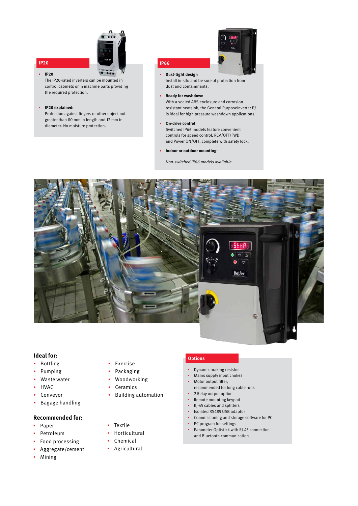

## **IP20**

 $\mathbf{r}^{\prime}$ **IP20**

 The IP20-rated inverters can be mounted in control cabinets or in machine parts providing the required protection.

#### **IP20 explained:**

 Protection against fingers or other object not greater than 80 mm in length and 12 mm in diameter. No moisture protection.



#### $\hat{\mathbf{r}}$ **Dust-tight design**

**IP66**

 Install in-situ and be sure of protection from dust and contaminants.

#### **Ready for washdown**

 With a sealed ABS enclosure and corrosion resistant heatsink, the General PurposeInverter E3 is ideal for high pressure washdown applications.

#### **On-drive control**

 Switched IP66 models feature convenient controls for speed control, REV/OFF/FWD and Power ON/OFF, complete with safety lock.

**Indoor or outdoor mounting**

Non-switched IP66 models available.



### **Ideal for:**

- Bottling
- Pumping
- Waste water
- HVAC
- Conveyor
- Bagage handling

#### **Recommended for:**

- Paper
- Petroleum
- Food processing
- Aggregate/cement
- Mining

## • Exercise

- Packaging
- Woodworking
- Ceramics
- 
- Building automation
- Textile
	- Horticultural
	-
	- Chemical
	- Agricultural

## **Options**

- Dynamic braking resistor
- Mains supply input chokes
- Motor output filter,
- recommended for long cable runs
- **2** Relay output option
- **Remote mounting keypad**
- RJ-45 cables and splitters
- Isolated RS485 USB adaptor Commissioning and storage software for PC
- **PC-program for settings**
- Parameter Optistick with RJ-45 connection and Bluetooth communication